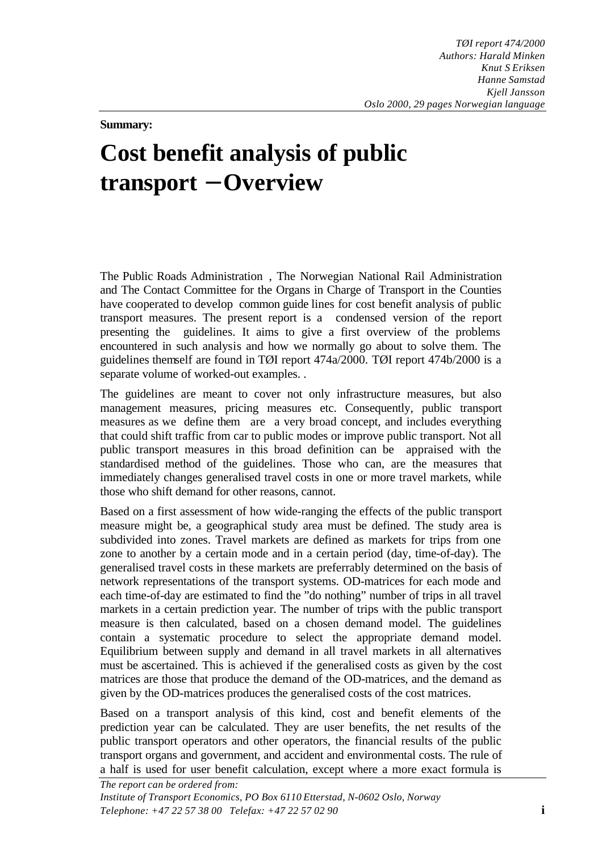**Summary:**

## **Cost benefit analysis of public transport - Overview**

The Public Roads Administration , The Norwegian National Rail Administration and The Contact Committee for the Organs in Charge of Transport in the Counties have cooperated to develop common guide lines for cost benefit analysis of public transport measures. The present report is a condensed version of the report presenting the guidelines. It aims to give a first overview of the problems encountered in such analysis and how we normally go about to solve them. The guidelines themself are found in TØI report 474a/2000. TØI report 474b/2000 is a separate volume of worked-out examples. .

The guidelines are meant to cover not only infrastructure measures, but also management measures, pricing measures etc. Consequently, public transport measures as we define them are a very broad concept, and includes everything that could shift traffic from car to public modes or improve public transport. Not all public transport measures in this broad definition can be appraised with the standardised method of the guidelines. Those who can, are the measures that immediately changes generalised travel costs in one or more travel markets, while those who shift demand for other reasons, cannot.

Based on a first assessment of how wide-ranging the effects of the public transport measure might be, a geographical study area must be defined. The study area is subdivided into zones. Travel markets are defined as markets for trips from one zone to another by a certain mode and in a certain period (day, time-of-day). The generalised travel costs in these markets are preferrably determined on the basis of network representations of the transport systems. OD-matrices for each mode and each time-of-day are estimated to find the "do nothing" number of trips in all travel markets in a certain prediction year. The number of trips with the public transport measure is then calculated, based on a chosen demand model. The guidelines contain a systematic procedure to select the appropriate demand model. Equilibrium between supply and demand in all travel markets in all alternatives must be ascertained. This is achieved if the generalised costs as given by the cost matrices are those that produce the demand of the OD-matrices, and the demand as given by the OD-matrices produces the generalised costs of the cost matrices.

Based on a transport analysis of this kind, cost and benefit elements of the prediction year can be calculated. They are user benefits, the net results of the public transport operators and other operators, the financial results of the public transport organs and government, and accident and environmental costs. The rule of a half is used for user benefit calculation, except where a more exact formula is